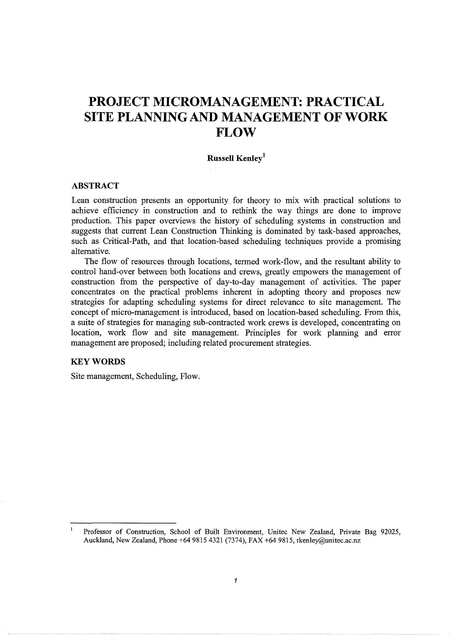# **PROJECT MICROMANAGEMENT: PRACTICAL SITE PLANNING AND MANAGEMENT OF WORK FLOW**

# **Russell Kenley<sup>1</sup>**

## **ABSTRACT**

Lean construction presents an opportunity for theory to mix with practical solutions to achieve efficiency in construction and to rethink the way things are done to improve production. This paper overviews the history of scheduling systems in construction and suggests that current Lean Construction Thinking is dominated by task-based approaches, such as Critical-Path, and that location-based scheduling techniques provide a promising alternative.

The flow of resources through locations, termed work-flow, and the resultant ability to control hand-over between both locations and crews, greatly empowers the management of construction from the perspective of day-to-day management of activities. The paper concentrates on the practical problems inherent in adopting theory and proposes new strategies for adapting scheduling systems for direct relevance to site management. The concept of micro-management is introduced, based on location-based scheduling. From this, a suite of strategies for managing sub-contracted work crews is developed, concentrating on location, work flow and site management. Principles for work planning and error management are proposed; including related procurement strategies.

## **KEYWORDS**

Site management, Scheduling, Flow.

Professor of Construction, School of Built Environment, Unitec New Zealand, Private Bag 92025, Auckland, New Zealand, Phone +64 9815 4321 (7374), FAX +64 9815, rkenley@unitec.ac.nz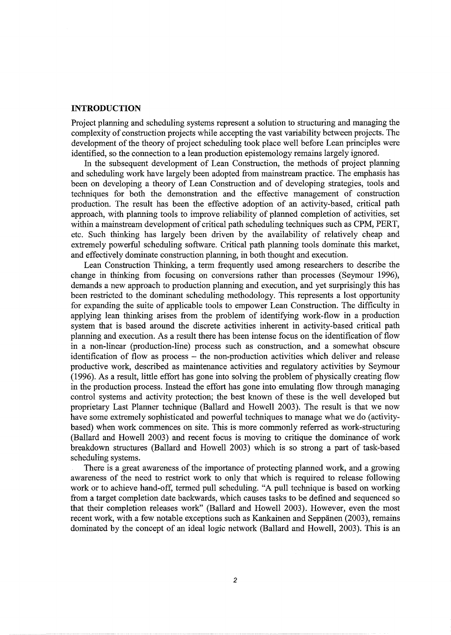#### **INTRODUCTION**

Project planning and scheduling systems represent a solution to structuring and managing the complexity of construction projects while accepting the vast variability between projects. The development of the theory of project scheduling took place well before Lean principles were identified, so the connection to a lean production epistemology remains largely ignored.

In the subsequent development of Lean Construction, the methods of project planning and scheduling work have largely been adopted from mainstream practice. The emphasis has been on developing a theory of Lean Construction and of developing strategies, tools and techniques for both the demonstration and the effective management of construction production. The result has been the effective adoption of an activity-based, critical path approach, with planning tools to improve reliability of planned completion of activities, set within a mainstream development of critical path scheduling techniques such as CPM, PERT, etc. Such thinking has largely been driven by the availability of relatively cheap and extremely powerful scheduling software. Critical path planning tools dominate this market, and effectively dominate construction planning, in both thought and execution.

Lean Construction Thinking, a term frequently used among researchers to describe the change in thinking from focusing on conversions rather than processes (Seymour 1996), demands a new approach to production planning and execution, and yet surprisingly this has been restricted to the dominant scheduling methodology. This represents a lost opportunity for expanding the suite of applicable tools to empower Lean Construction. The difficulty in applying lean thinking arises from the problem of identifying work-flow in a production system that is based around the discrete activities inherent in activity-based critical path planning and execution. As a result there has been intense focus on the identification of flow in a non-linear (production-line) process such as construction, and a somewhat obscure identification of flow as process - the non-production activities which deliver and release productive work, described as maintenance activities and regulatory activities by Seymour (1996). As a result, little effort has gone into solving the problem of physically creating flow in the production process. Instead the effort has gone into emulating flow through managing control systems and activity protection; the best known of these is the well developed but proprietary Last Planner technique (Ballard and Howell 2003). The result is that we now have some extremely sophisticated and powerful techniques to manage what we do (activitybased) when work commences on site. This is more commonly referred as work-structuring (Ballard and Howell 2003) and recent focus is moving to critique the dominance of work breakdown structures (Ballard and Howell 2003) which is so strong a part of task-based scheduling systems.

There is a great awareness of the importance of protecting planned work, and a growing awareness of the need to restrict work to only that which is required to release following work or to achieve hand-off, termed pull scheduling. "A pull technique is based on working from a target completion date backwards, which causes tasks to be defined and sequenced so that their completion releases work" (Ballard and Howell 2003). However, even the most recent work, with a few notable exceptions such as Kankainen and Seppanen (2003), remains dominated by the concept of an ideal logic network (Ballard and Howell, 2003). This is an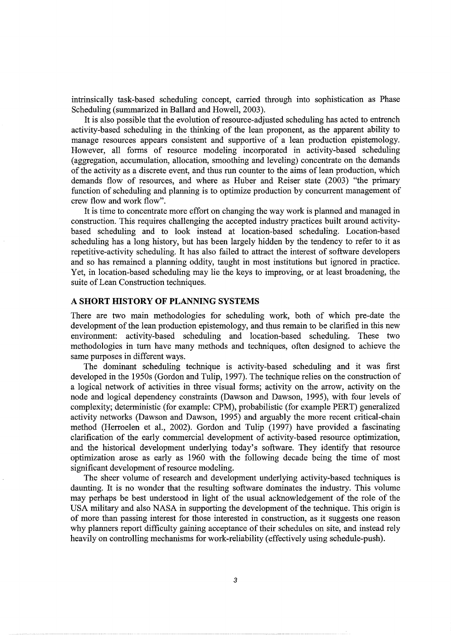intrinsically task-based scheduling concept, carried through into sophistication as Phase Scheduling (summarized in Ballard and Howell, 2003).

It is also possible that the evolution of resource-adjusted scheduling has acted to entrench activity-based scheduling in the thinking of the lean proponent, as the apparent ability to manage resources appears consistent and supportive of a lean production epistemology. However, all forms of resource modeling incorporated in activity-based scheduling (aggregation, accumulation, allocation, smoothing and leveling) concentrate on the demands of the activity as a discrete event, and thus run counter to the aims of lean production, which demands flow of resources, and where as Huber and Reiser state (2003) "the primary function of scheduling and planning is to optimize production by concurrent management of crew flow and work flow".

It is time to concentrate more effort on changing the way work is planned and managed in construction. This requires challenging the accepted industry practices built around activitybased scheduling and to look instead at location-based scheduling. Location-based scheduling has a long history, but has been largely hidden by the tendency to refer to it as repetitive-activity scheduling. It has also failed to attract the interest of software developers and so has remained a planning oddity, taught in most institutions but ignored in practice. Yet, in location-based scheduling may lie the keys to improving, or at least broadening, the suite of Lean Construction techniques.

## **A SHORT HISTORY OF PLANNING SYSTEMS**

There are two main methodologies for scheduling work, both of which pre-date the development of the lean production epistemology, and thus remain to be clarified in this new environment: activity-based scheduling and location-based scheduling. These two methodologies in tum have many methods and techniques, often designed to achieve the same purposes in different ways.

The dominant scheduling technique is activity-based scheduling and it was first developed in the 1950s (Gordon and Tulip, 1997). The technique relies on the construction of a logical network of activities in three visual forms; activity on the arrow, activity on the node and logical dependency constraints (Dawson and Dawson, 1995), with four levels of complexity; deterministic (for example: CPM), probabilistic (for example PERT) generalized activity networks (Dawson and Dawson, 1995) and arguably the more recent critical-chain method (Herroelen et al., 2002). Gordon and Tulip (1997) have provided a fascinating clarification of the early commercial development of activity-based resource optimization, and the historical development underlying today's software. They identify that resource optimization arose as early as 1960 with the following decade being the time of most significant development of resource modeling.

The sheer volume of research and development underlying activity-based techniques is daunting. It is no wonder that the resulting software dominates the industry. This volume may perhaps be best understood in light of the usual acknowledgement of the role of the USA military and also NASA in supporting the development of the technique. This origin is of more than passing interest for those interested in construction, as it suggests one reason why planners report difficulty gaining acceptance of their schedules on site, and instead rely heavily on controlling mechanisms for work-reliability (effectively using schedule-push).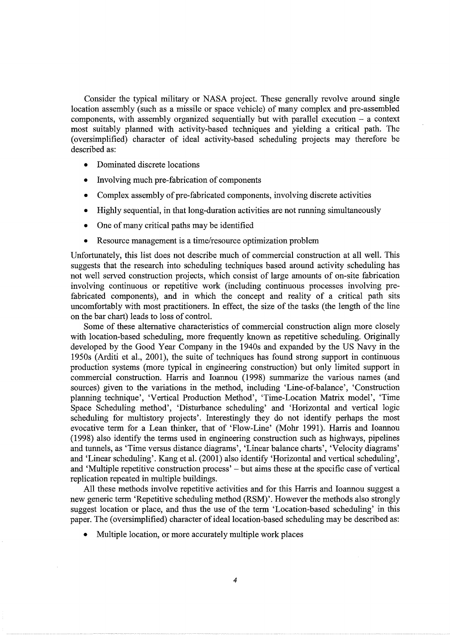Consider the typical military or NASA project. These generally revolve around single location assembly (such as a missile or space vehicle) of many complex and pre-assembled components, with assembly organized sequentially but with parallel execution  $-$  a context most suitably planned with activity-based techniques and yielding a critical path. The (oversimplified) character of ideal activity-based scheduling projects may therefore be described as:

- Dominated discrete locations
- Involving much pre-fabrication of components
- Complex assembly of pre-fabricated components, involving discrete activities
- Highly sequential, in that long-duration activities are not running simultaneously
- One of many critical paths may be identified
- Resource management is a time/resource optimization problem

Unfortunately, this list does not describe much of commercial construction at all well. This suggests that the research into scheduling techniques based around activity scheduling has not well served construction projects, which consist of large amounts of on-site fabrication involving continuous or repetitive work (including continuous processes involving prefabricated components), and in which the concept and reality of a critical path sits uncomfortably with most practitioners. In effect, the size of the tasks (the length of the line on the bar chart) leads to loss of control.

Some of these alternative characteristics of commercial construction align more closely with location-based scheduling, more frequently known as repetitive scheduling. Originally developed by the Good Year Company in the 1940s and expanded by the US Navy in the 1950s (Arditi et al., 2001), the suite of techniques has found strong support in continuous production systems (more typical in engineering construction) but only limited support in commercial construction. Harris and Ioannou (1998) summarize the various names (and sources) given to the variations in the method, including 'Line-of-balance', 'Construction planning technique', 'Vertical Production Method', 'Time-Location Matrix model', 'Time Space Scheduling method', 'Disturbance scheduling' and 'Horizontal and vertical logic scheduling for multistory projects'. Interestingly they do not identify perhaps the most evocative term for a Lean thinker, that of 'Flow-Line' (Mohr 1991). Harris and Ioannou (1998) also identify the terms used in engineering construction such as highways, pipelines and tunnels, as 'Time versus distance diagrams', 'Linear balance charts', 'Velocity diagrams' and 'Linear scheduling'. Kang et al. (2001) also identify 'Horizontal and vertical scheduling', and 'Multiple repetitive construction process' – but aims these at the specific case of vertical replication repeated in multiple buildings.

All these methods involve repetitive activities and for this Harris and Ioannou suggest a new generic term 'Repetitive scheduling method (RSM)'. However the methods also strongly suggest location or place, and thus the use of the term 'Location-based scheduling' in this paper. The (oversimplified) character of ideal location-based scheduling may be described as:

• Multiple location, or more accurately multiple work places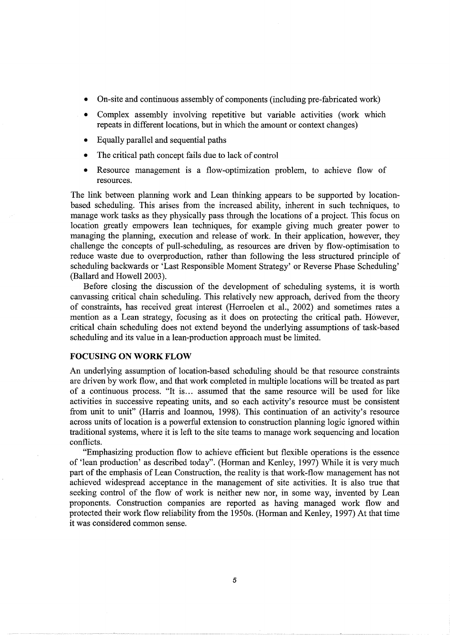- On-site and continuous assembly of components (including pre-fabricated work)
- Complex assembly involving repetitive but variable activities (work which repeats in different locations, but in which the amount or context changes)
- Equally parallel and sequential paths
- The critical path concept fails due to lack of control
- Resource management is a flow-optimization problem, to achieve flow of resources.

The link between planning work and Lean thinking appears to be supported by locationbased scheduling. This arises from the increased ability, inherent in such techniques, to manage work tasks as they physically pass through the locations of a project. This focus on location greatly empowers lean techniques, for example giving much greater power to managing the planning, execution and release of work. In their application, however, they challenge the concepts of pull-scheduling, as resources are driven by flow-optimisation to reduce waste due to overproduction, rather than following the less structured principle of scheduling backwards or 'Last Responsible Moment Strategy' or Reverse Phase Scheduling' (Ballard and Howell 2003).

Before closing the discussion of the development of scheduling systems, it is worth canvassing critical chain scheduling. This relatively new approach, derived from the theory of constraints, has received great interest (Herroelen et al., 2002) and sometimes rates a mention as a Lean strategy, focusing as it does on protecting the critical path. However, critical chain scheduling does not extend beyond the underlying assumptions of task-based scheduling and its value in a lean-production approach must be limited.

## **FOCUSING ON WORK FLOW**

An underlying assumption of location-based scheduling should be that resource constraints are driven by work flow, and that work completed in multiple locations will be treated as part of a continuous process. "It is ... assumed that the same resource will be used for like activities in successive repeating units, and so each activity's resource must be consistent from unit to unit" (Harris and Ioannou, 1998). This continuation of an activity's resource across units of location is a powerful extension to construction planning logic ignored within traditional systems, where it is left to the site teams to manage work sequencing and location conflicts.

"Emphasizing production flow to achieve efficient but flexible operations is the essence of 'lean production' as described today". (Horman and Kenley, 1997) While it is very much part of the emphasis of Lean Construction, the reality is that work-flow management has not achieved widespread acceptance in the management of site activities. It is also true that seeking control of the flow of work is neither new nor, in some way, invented by Lean proponents. Construction companies are reported as having managed work flow and protected their work flow reliability from the 1950s. (Horman and Kenley, 1997) At that time it was considered common sense.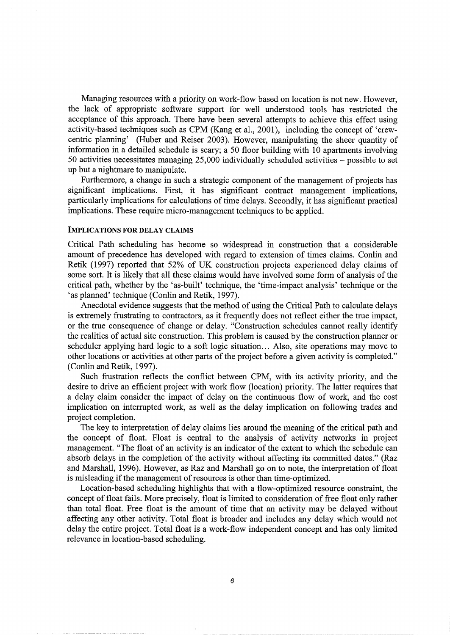Managing resources with a priority on work-flow based on location is not new. However, the lack of appropriate software support for well understood tools has restricted the acceptance of this approach. There have been several attempts to achieve this effect using activity-based techniques such as CPM (Kang et al., 2001), including the concept of 'crewcentric planning' (Huber and Reiser 2003). However, manipulating the sheer quantity of information in a detailed schedule is scary; a 50 floor building with 10 apartments involving 50 activities necessitates managing 25,000 individually scheduled activities - possible to set up but a nightmare to manipulate.

Furthermore, a change in such a strategic component of the management of projects has significant implications. First, it has significant contract management implications, particularly implications for calculations of time delays. Secondly, it has significant practical implications. These require micro-management techniques to be applied.

### IMPLICATIONS FOR DELAY CLAIMS

Critical Path scheduling has become so widespread in construction that a considerable amount of precedence has developed with regard to extension of times claims. Conlin and Retik (1997) reported that 52% of UK construction projects experienced delay claims of some sort. It is likely that all these claims would have involved some form of analysis of the critical path, whether by the 'as-built' technique, the 'time-impact analysis' technique or the 'as planned' technique (Conlin and Retik, 1997).

Anecdotal evidence suggests that the method of using the Critical Path to calculate delays is extremely frustrating to contractors, as it frequently does not reflect either the true impact, or the true consequence of change or delay. "Construction schedules cannot really identify the realities of actual site construction. This problem is caused by the construction planner or scheduler applying hard logic to a soft logic situation... Also, site operations may move to other locations or activities at other parts of the project before a given activity is completed." (Conlin and Retik, 1997).

Such frustration reflects the conflict between CPM, with its activity priority, and the desire to drive an efficient project with work flow (location) priority. The latter requires that a delay claim consider the impact of delay on the continuous flow of work, and the cost implication on interrupted work, as well as the delay implication on following trades and project completion.

The key to interpretation of delay claims lies around the meaning of the critical path and the concept of float. Float is central to the analysis of activity networks in project management. "The float of an activity is an indicator of the extent to which the schedule can absorb delays in the completion of the activity without affecting its committed dates." (Raz and Marshall, 1996). However, as Raz and Marshall go on to note, the interpretation of float is misleading if the management of resources is other than time-optimized.

Location-based scheduling highlights that with a flow-optimized resource constraint, the concept of float fails. More precisely, float is limited to consideration of free float only rather than total float. Free float is the amount of time that an activity may be delayed without affecting any other activity. Total float is broader and includes any delay which would not delay the entire project. Total float is a work-flow independent concept and has only limited relevance in location-based scheduling.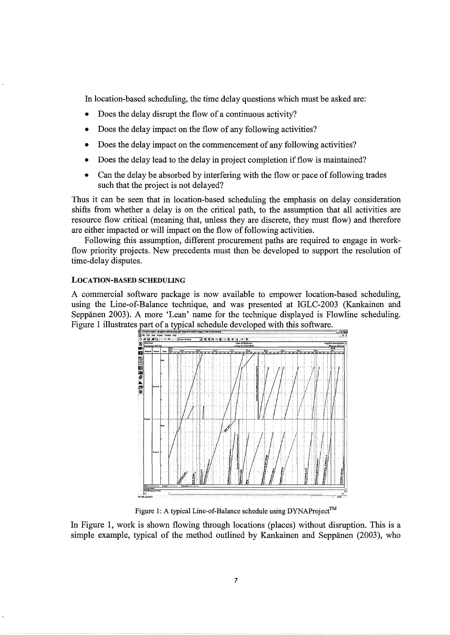In location-based scheduling, the time delay questions which must be asked are:

- Does the delay disrupt the flow of a continuous activity?
- Does the delay impact on the flow of any following activities?
- Does the delay impact on the commencement of any following activities?
- Does the delay lead to the delay in project completion if flow is maintained?
- Can the delay be absorbed by interfering with the flow or pace of following trades such that the project is not delayed?

Thus it can be seen that in location-based scheduling the emphasis on delay consideration shifts from whether a delay is on the critical path, to the assumption that all activities are resource flow critical (meaning that, unless they are discrete, they must flow) and therefore are either impacted or will impact on the flow of following activities.

Following this assumption, different procurement paths are required to engage in workflow priority projects. New precedents must then be developed to support the resolution of time-delay disputes.

#### LOCATION-BASED SCHEDULING

A commercial software package is now available to empower location-based scheduling, using the Line-of-Balance technique, and was presented at IGLC-2003 (Kankainen and Seppanen 2003). A more 'Lean' name for the technique displayed is Flowline scheduling. Figure 1 illustrates part of a typical schedule developed with this software.



Figure 1: A typical Line-of-Balance schedule using DYNAProject™

In Figure 1, work is shown flowing through locations (places) without disruption. This is a simple example, typical of the method outlined by Kankainen and Seppanen (2003), who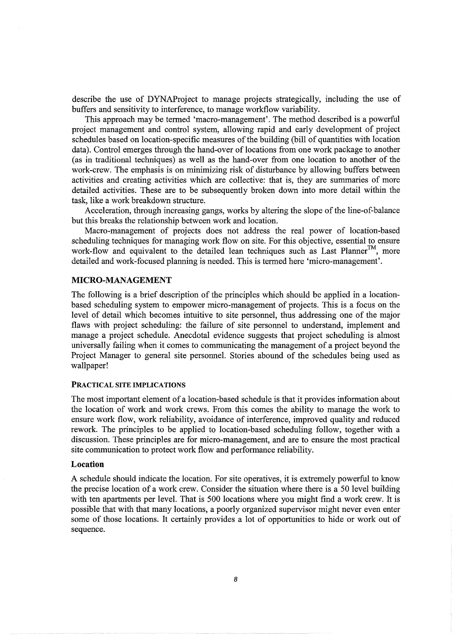describe the use of DYNAProject to manage projects strategically, including the use of buffers and sensitivity to interference, to manage workflow variability.

This approach may be termed 'macro-management'. The method described is a powerful project management and control system, allowing rapid and early development of project schedules based on location-specific measures of the building (bill of quantities with location data). Control emerges through the hand-over of locations from one work package to another (as in traditional techniques) as well as the hand-over from one location to another of the work-crew. The emphasis is on minimizing risk of disturbance by allowing buffers between activities and creating activities which are collective: that is, they are summaries of more detailed activities. These are to be subsequently broken down into more detail within the task, like a work breakdown structure.

Acceleration, through increasing gangs, works by altering the slope of the line-of-balance but this breaks the relationship between work and location.

Macro-management of projects does not address the real power of location-based scheduling techniques for managing work flow on site. For this objective, essential to ensure work-flow and equivalent to the detailed lean techniques such as Last Planner™, more detailed and work-focused planning is needed. This is termed here 'micro-management'.

## **MICRO-MANAGEMENT**

The following is a brief description of the principles which should be applied in a locationbased scheduling system to empower micro-management of projects. This is a focus on the level of detail which becomes intuitive to site personnel, thus addressing one of the major flaws with project scheduling: the failure of site personnel to understand, implement and manage a project schedule. Anecdotal evidence suggests that project scheduling is almost universally failing when it comes to communicating the management of a project beyond the Project Manager to general site personnel. Stories abound of the schedules being used as wallpaper!

#### PRACTICAL SITE IMPLICATIONS

The most important element of a location-based schedule is that it provides information about the location of work and work crews. From this comes the ability to manage the work to ensure work flow, work reliability, avoidance of interference, improved quality and reduced rework. The principles to be applied to location-based scheduling follow, together with a discussion. These principles are for micro-management, and are to ensure the most practical site communication to protect work flow and performance reliability.

### **Location**

A schedule should indicate the location. For site operatives, it is extremely powerful to know the precise location of a work crew. Consider the situation where there is a 50 level building with ten apartments per level. That is 500 locations where you might find a work crew. It is possible that with that many locations, a poorly organized supervisor might never even enter some of those locations. It certainly provides a lot of opportunities to hide or work out of sequence.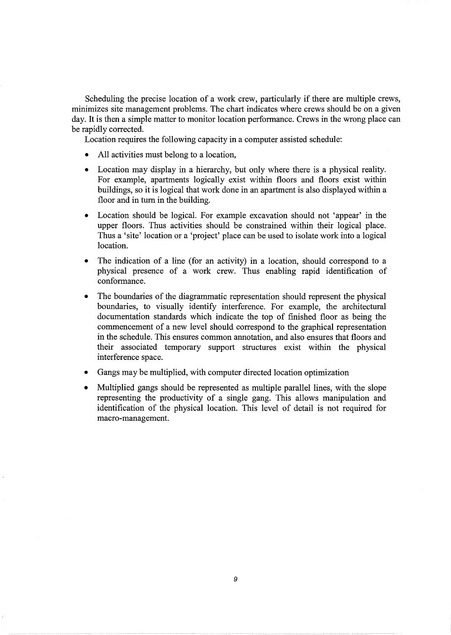Scheduling the precise location of a work crew, particularly if there are multiple crews, minimizes site management problems. The chart indicates where crews should be on a given day. It is then a simple matter to monitor location performance. Crews in the wrong place can be rapidly corrected.

Location requires the following capacity in a computer assisted schedule:

- All activities must belong to a location,
- Location may display in a hierarchy, but only where there is a physical reality. For example, apartments logically exist within floors and floors exist within buildings, so it is logical that work done in an apartment is also displayed within a floor and in turn in the building.
- Location should be logical. For example excavation should not 'appear' in the upper floors. Thus activities should be constrained within their logical place. Thus a 'site' location or a 'project' place can be used to isolate work into a logical location.
- The indication of a line (for an activity) in a location, should correspond to a physical presence of a work crew. Thus enabling rapid identification of conformance.
- The boundaries of the diagrammatic representation should represent the physical boundaries, to visually identify interference. For example, the architectural documentation standards which indicate the top of finished floor as being the commencement of a new level should correspond to the graphical representation in the schedule. This ensures common annotation, and also ensures that floors and their associated temporary support structures exist within the physical interference space.
- Gangs may be multiplied, with computer directed location optimization
- Multiplied gangs should be represented as multiple parallel lines, with the slope representing the productivity of a single gang. This allows manipulation and identification of the physical location. This level of detail is not required for macro-management.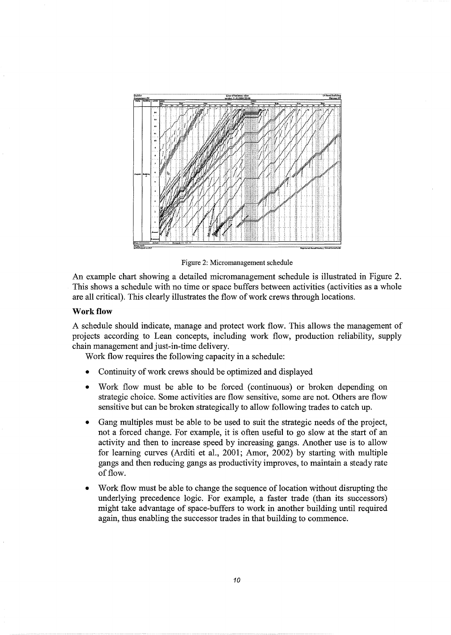

Figure 2: Micromanagement schedule

An example chart showing a detailed micromanagement schedule is illustrated in Figure 2. This shows a schedule with no time or space buffers between activities (activities as a whole are all critical). This clearly illustrates the flow of work crews through locations.

## **Work flow**

A schedule should indicate, manage and protect work flow. This allows the management of projects according to Lean concepts, including work flow, production reliability, supply chain management and just-in-time delivery.

Work flow requires the following capacity in a schedule:

- Continuity of work crews should be optimized and displayed
- Work flow must be able to be forced (continuous) or broken depending on strategic choice. Some activities are flow sensitive, some are not. Others are flow sensitive but can be broken strategically to allow following trades to catch up.
- Gang multiples must be able to be used to suit the strategic needs of the project, not a forced change. For example, it is often useful to go slow at the start of an activity and then to increase speed by increasing gangs. Another use is to allow for learning curves (Arditi et al., 2001; Amor, 2002) by starting with multiple gangs and then reducing gangs as productivity improves, to maintain a steady rate of flow.
- Work flow must be able to change the sequence of location without disrupting the underlying precedence logic. For example, a faster trade (than its successors) might take advantage of space-buffers to work in another building until required again, thus enabling the successor trades in that building to commence.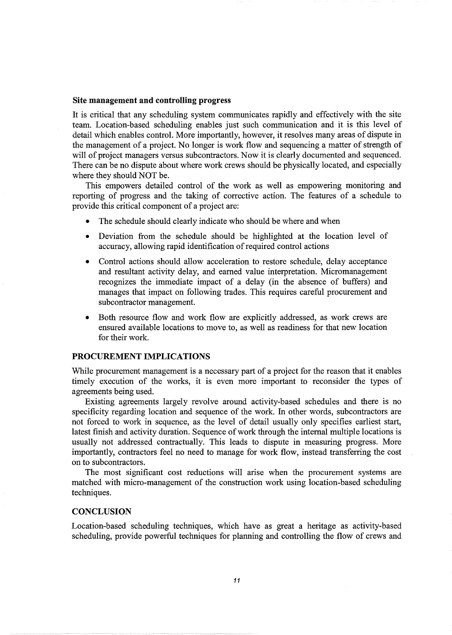#### **Site management and controlling progress**

It is critical that any scheduling system communicates rapidly and effectively with the site team. Location-based scheduling enables just such communication and it is this level of detail which enables control. More importantly, however, it resolves many areas of dispute in the management of a project. No longer is work flow and sequencing a matter of strength of will of project managers versus subcontractors. Now it is clearly documented and sequenced. There can be no dispute about where work crews should be physically located, and especially where they should NOT be.

This empowers detailed control of the work as well as empowering monitoring and reporting of progress and the taking of corrective action. The features of a schedule to provide this critical component of a project are:

- The schedule should clearly indicate who should be where and when
- Deviation from the schedule should be highlighted at the location level of accuracy, allowing rapid identification of required control actions
- Control actions should allow acceleration to restore schedule, delay acceptance and resultant activity delay, and earned value interpretation. Micromanagement recognizes the immediate impact of a delay (in the absence of buffers) and manages that impact on following trades. This requires careful procurement and subcontractor management.
- Both resource flow and work flow are explicitly addressed, as work crews are ensured available locations to move to, as well as readiness for that new location for their work.

# **PROCUREMENT IMPLICATIONS**

While procurement management is a necessary part of a project for the reason that it enables timely execution of the works, it is even more important to reconsider the types of agreements being used.

Existing agreements largely revolve around activity-based schedules and there is no specificity regarding location and sequence of the work. In other words, subcontractors are not forced to work in sequence, as the level of detail usually only specifies earliest start, latest finish and activity duration. Sequence of work through the internal multiple locations is usually not addressed contractually. This leads to dispute in measuring progress. More importantly, contractors feel no need to manage for work flow, instead transferring the cost on to subcontractors.

The most significant cost reductions will arise when the procurement systems are matched with micro-management of the construction work using location-based scheduling techniques.

#### **CONCLUSION**

Location-based scheduling techniques, which have as great a heritage as activity-based scheduling, provide powerful techniques for planning and controlling the flow of crews and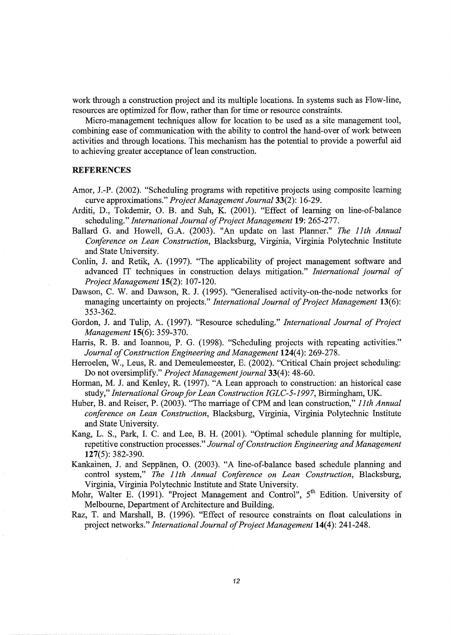work through a construction project and its multiple locations. In systems such as Flow-line, resources are optimized for flow, rather than for time or resource constraints.

Micro-management techniques allow for location to be used as a site management tool, combining ease of communication with the ability to control the hand-over of work between activities and through locations. This mechanism has the potential to provide a powerful aid to achieving greater acceptance of lean construction.

#### **REFERENCES**

- Amor, J.-P. (2002). "Scheduling programs with repetitive projects using composite learning curve approximations." *Project Management Journal33(2):* 16-29.
- Arditi, D., Tokdemir, 0. B. and Suh, K. (2001). "Effect of learning on line-of-balance scheduling." *International Journal of Project Management* **19:** 265-277.
- Ballard G. and Howell, G.A. (2003). "An update on last Planner." *The lith Annual Conference on Lean Construction,* Blacksburg, Virginia, Virginia Polytechnic Institute and State University.
- Conlin, **J.** and Retik, A. (1997). "The applicability of project management software and advanced IT techniques in construction delays mitigation." *International journal of Project Management* **15(2):** 107-120.
- Dawson, C. W. and Dawson, R. J. (1995). "Generalised activity-on-the-node networks for managing uncertainty on projects." *International Journal of Project Management* **13(6):**  353-362.
- Gordon, J. and Tulip, A. (1997). "Resource scheduling." *International Journal of Project Management* **15(6):** 359-370.
- Harris, R. B. and Ioannou, P. G. (1998). "Scheduling projects with repeating activities." *Journal of Construction Engineering and Management* **124(4):** 269-278.
- Herroelen, W., Leus, R. and Demeulemeester, E. (2002). "Critical Chain project scheduling: Do not oversimplify." *Project Management journal* 33(4): 48-60.
- Horman, M. J. and Kenley, R. (1997). "A Lean approach to construction: an historical case study," *International Group for Lean Construction IGLC-5-1997,* Birmingham, UK.
- Huber, B. and Reiser, **P.** (2003). "The marriage of CPM and lean construction," *lith Annual conference on Lean Construction,* Blacksburg, Virginia, Virginia Polytechnic Institute and State University.
- Kang, L. S., Park, I. C. and Lee, B. H. (2001). "Optimal schedule planning for multiple, repetitive construction processes." *Journal of Construction Engineering and Management*  **127(5):** 382-390.
- Kankainen, **J.** and Seppanen, 0. (2003). "A line-of-balance based schedule planning and control system," *The lith Annual Conference on Lean Construction,* Blacksburg, Virginia, Virginia Polytechnic Institute and State University.
- Mohr, Walter E. (1991). "Project Management and Control", 5<sup>th</sup> Edition. University of Melbourne, Department of Architecture and Building.
- Raz, T. and Marshall, B. (1996). "Effect of resource constraints on float calculations in project networks." *International Journal of Project Management* **14(4):** 241-248.